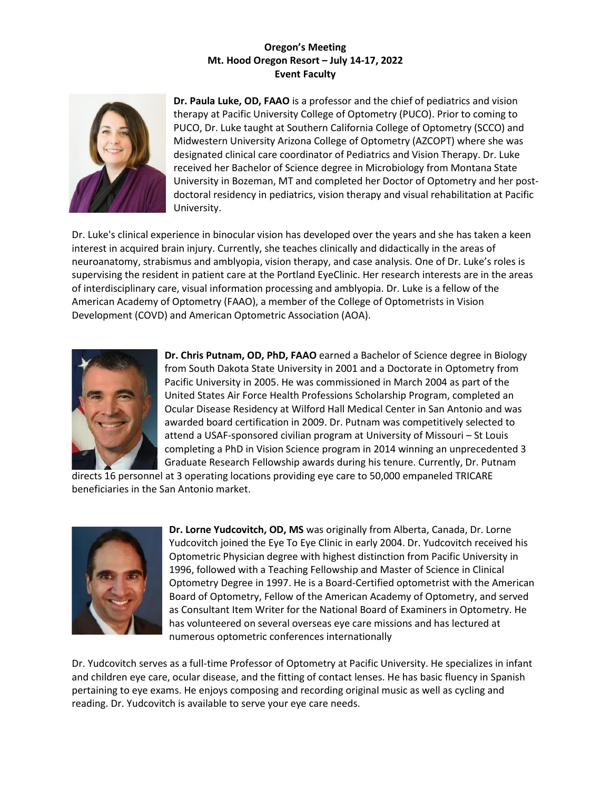## **Oregon's Meeting Mt. Hood Oregon Resort – July 14-17, 2022 Event Faculty**



**Dr. Paula Luke, OD, FAAO** is a professor and the chief of pediatrics and vision therapy at Pacific University College of Optometry (PUCO). Prior to coming to PUCO, Dr. Luke taught at Southern California College of Optometry (SCCO) and Midwestern University Arizona College of Optometry (AZCOPT) where she was designated clinical care coordinator of Pediatrics and Vision Therapy. Dr. Luke received her Bachelor of Science degree in Microbiology from Montana State University in Bozeman, MT and completed her Doctor of Optometry and her postdoctoral residency in pediatrics, vision therapy and visual rehabilitation at Pacific University.

Dr. Luke's clinical experience in binocular vision has developed over the years and she has taken a keen interest in acquired brain injury. Currently, she teaches clinically and didactically in the areas of neuroanatomy, strabismus and amblyopia, vision therapy, and case analysis. One of Dr. Luke's roles is supervising the resident in patient care at the Portland EyeClinic. Her research interests are in the areas of interdisciplinary care, visual information processing and amblyopia. Dr. Luke is a fellow of the American Academy of Optometry (FAAO), a member of the College of Optometrists in Vision Development (COVD) and American Optometric Association (AOA).



**Dr. Chris Putnam, OD, PhD, FAAO** earned a Bachelor of Science degree in Biology from South Dakota State University in 2001 and a Doctorate in Optometry from Pacific University in 2005. He was commissioned in March 2004 as part of the United States Air Force Health Professions Scholarship Program, completed an Ocular Disease Residency at Wilford Hall Medical Center in San Antonio and was awarded board certification in 2009. Dr. Putnam was competitively selected to attend a USAF-sponsored civilian program at University of Missouri – St Louis completing a PhD in Vision Science program in 2014 winning an unprecedented 3 Graduate Research Fellowship awards during his tenure. Currently, Dr. Putnam

directs 16 personnel at 3 operating locations providing eye care to 50,000 empaneled TRICARE beneficiaries in the San Antonio market.



**Dr. Lorne Yudcovitch, OD, MS** was originally from Alberta, Canada, Dr. Lorne Yudcovitch joined the Eye To Eye Clinic in early 2004. Dr. Yudcovitch received his Optometric Physician degree with highest distinction from Pacific University in 1996, followed with a Teaching Fellowship and Master of Science in Clinical Optometry Degree in 1997. He is a Board-Certified optometrist with the American Board of Optometry, Fellow of the American Academy of Optometry, and served as Consultant Item Writer for the National Board of Examiners in Optometry. He has volunteered on several overseas eye care missions and has lectured at numerous optometric conferences internationally

Dr. Yudcovitch serves as a full-time Professor of Optometry at Pacific University. He specializes in infant and children eye care, ocular disease, and the fitting of contact lenses. He has basic fluency in Spanish pertaining to eye exams. He enjoys composing and recording original music as well as cycling and reading. Dr. Yudcovitch is available to serve your eye care needs.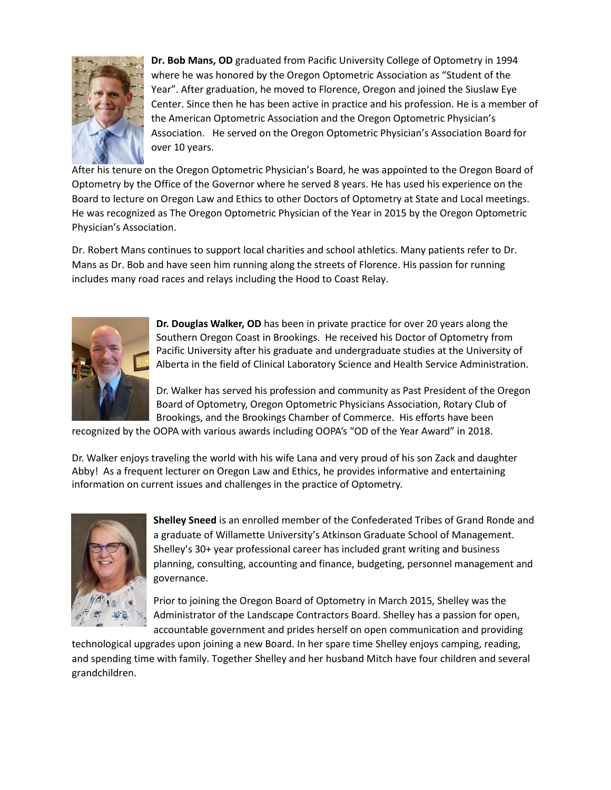

**Dr. Bob Mans, OD** graduated from Pacific University College of Optometry in 1994 where he was honored by the Oregon Optometric Association as "Student of the Year". After graduation, he moved to Florence, Oregon and joined the Siuslaw Eye Center. Since then he has been active in practice and his profession. He is a member of the American Optometric Association and the Oregon Optometric Physician's Association. He served on the Oregon Optometric Physician's Association Board for over 10 years.

After his tenure on the Oregon Optometric Physician's Board, he was appointed to the Oregon Board of Optometry by the Office of the Governor where he served 8 years. He has used his experience on the Board to lecture on Oregon Law and Ethics to other Doctors of Optometry at State and Local meetings. He was recognized as The Oregon Optometric Physician of the Year in 2015 by the Oregon Optometric Physician's Association.

Dr. Robert Mans continues to support local charities and school athletics. Many patients refer to Dr. Mans as Dr. Bob and have seen him running along the streets of Florence. His passion for running includes many road races and relays including the Hood to Coast Relay.



**Dr. Douglas Walker, OD** has been in private practice for over 20 years along the Southern Oregon Coast in Brookings. He received his Doctor of Optometry from Pacific University after his graduate and undergraduate studies at the University of Alberta in the field of Clinical Laboratory Science and Health Service Administration.

Dr. Walker has served his profession and community as Past President of the Oregon Board of Optometry, Oregon Optometric Physicians Association, Rotary Club of Brookings, and the Brookings Chamber of Commerce. His efforts have been

recognized by the OOPA with various awards including OOPA's "OD of the Year Award" in 2018.

Dr. Walker enjoys traveling the world with his wife Lana and very proud of his son Zack and daughter Abby! As a frequent lecturer on Oregon Law and Ethics, he provides informative and entertaining information on current issues and challenges in the practice of Optometry.



**Shelley Sneed** is an enrolled member of the Confederated Tribes of Grand Ronde and a graduate of Willamette University's Atkinson Graduate School of Management. Shelley's 30+ year professional career has included grant writing and business planning, consulting, accounting and finance, budgeting, personnel management and governance.

Prior to joining the Oregon Board of Optometry in March 2015, Shelley was the Administrator of the Landscape Contractors Board. Shelley has a passion for open, accountable government and prides herself on open communication and providing

technological upgrades upon joining a new Board. In her spare time Shelley enjoys camping, reading, and spending time with family. Together Shelley and her husband Mitch have four children and several grandchildren.